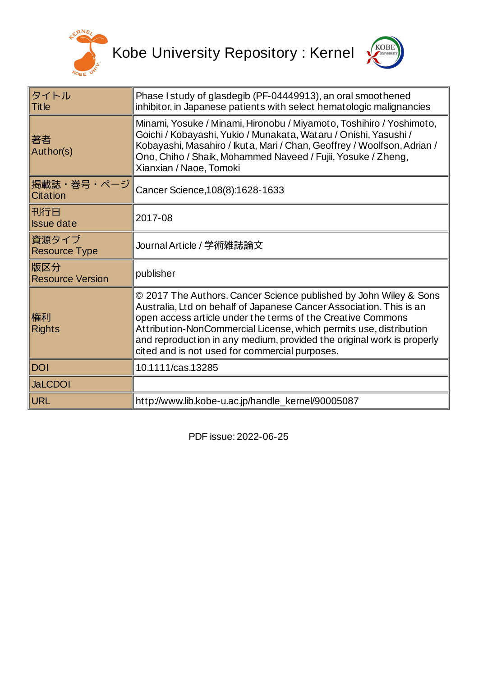



| タイトル<br><b>Title</b>           | Phase I study of glasdegib (PF-04449913), an oral smoothened<br>inhibitor, in Japanese patients with select hematologic malignancies                                                                                                                                                                                                                                                                      |
|--------------------------------|-----------------------------------------------------------------------------------------------------------------------------------------------------------------------------------------------------------------------------------------------------------------------------------------------------------------------------------------------------------------------------------------------------------|
| 著者<br>Author(s)                | Minami, Yosuke / Minami, Hironobu / Miyamoto, Toshihiro / Yoshimoto,<br>Goichi / Kobayashi, Yukio / Munakata, Wataru / Onishi, Yasushi /<br>Kobayashi, Masahiro / Ikuta, Mari / Chan, Geoffrey / Woolfson, Adrian /<br>Ono, Chiho / Shaik, Mohammed Naveed / Fujii, Yosuke / Zheng,<br>Xianxian / Naoe, Tomoki                                                                                            |
| 掲載誌・巻号・ページ<br>Citation         | Cancer Science, 108(8): 1628-1633                                                                                                                                                                                                                                                                                                                                                                         |
| 刊行日<br><b>Issue date</b>       | 2017-08                                                                                                                                                                                                                                                                                                                                                                                                   |
| 資源タイプ<br><b>Resource Type</b>  | Journal Article / 学術雑誌論文                                                                                                                                                                                                                                                                                                                                                                                  |
| 版区分<br><b>Resource Version</b> | publisher                                                                                                                                                                                                                                                                                                                                                                                                 |
| 権利<br><b>Rights</b>            | © 2017 The Authors. Cancer Science published by John Wiley & Sons<br>Australia, Ltd on behalf of Japanese Cancer Association. This is an<br>open access article under the terms of the Creative Commons<br>Attribution-NonCommercial License, which permits use, distribution<br>and reproduction in any medium, provided the original work is properly<br>cited and is not used for commercial purposes. |
| <b>DOI</b>                     | 10.1111/cas.13285                                                                                                                                                                                                                                                                                                                                                                                         |
| <b>JaLCDOI</b>                 |                                                                                                                                                                                                                                                                                                                                                                                                           |
| <b>URL</b>                     | http://www.lib.kobe-u.ac.jp/handle_kernel/90005087                                                                                                                                                                                                                                                                                                                                                        |

PDF issue: 2022-06-25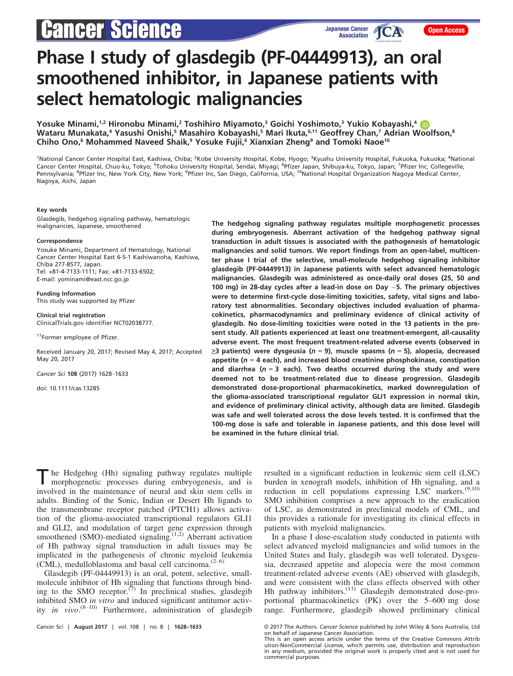# **Cancer Science**

# Phase I study of glasdegib (PF-04449913), an oral smoothened inhibitor, in Japanese patients with select hematologic malignancies

Yosuke Minami,<sup>1,2</sup> Hironobu Minami,<sup>2</sup> Toshihiro Miyamoto,<sup>3</sup> Goichi Yoshimoto,<sup>3</sup> Yukio Kobayashi,<sup>4</sup> Wataru Munakata,<sup>4</sup> Yasushi Onishi,<sup>5</sup> Masahiro Kobayashi,<sup>5</sup> Mari Ikuta,<sup>6,11</sup> Geoffrey Chan,<sup>7</sup> Adrian Woolfson,<sup>8</sup> Chiho Ono,<sup>6</sup> Mohammed Naveed Shaik,<sup>9</sup> Yosuke Fujii,<sup>6</sup> Xianxian Zheng<sup>9</sup> and Tomoki Naoe<sup>10</sup>

<sup>1</sup>National Cancer Center Hospital East, Kashiwa, Chiba; <sup>2</sup>Kobe University Hospital, Kobe, Hyogo; <sup>3</sup>Kyushu University Hospital, Fukuoka, Fukuoka; <sup>4</sup>National Cancer Center Hospital, Chuo-ku, Tokyo; <sup>5</sup>Tohoku University Hospital, Sendai, Miyagi; <sup>6</sup>Pfizer Japan, Shibuya-ku, Tokyo, Japan; <sup>7</sup>Pfizer Inc, Collegeville, Pennsylvania; <sup>8</sup>Pfizer Inc, New York City, New York; <sup>9</sup>Pfizer Inc, San Diego, California, USA; <sup>10</sup>National Hospital Organization Nagoya Medical Center, Nagoya, Aichi, Japan

#### Key words

Glasdegib, hedgehog signaling pathway, hematologic malignancies, Japanese, smoothened

#### Correspondence

Yosuke Minami, Department of Hematology, National Cancer Center Hospital East 6-5-1 Kashiwanoha, Kashiwa, Chiba 277-8577, Japan. Tel: +81-4-7133-1111; Fax: +81-7133-6502; E-mail: yominami@east.ncc.go.jp

Funding Information This study was supported by Pfizer

Clinical trial registration ClinicalTrials.gov identifier NCT02038777.

<sup>11</sup>Former employee of Pfizer.

Received January 20, 2017; Revised May 4, 2017; Accepted May 20, 2017

Cancer Sci 108 (2017) 1628–1633

doi: 10.1111/cas.13285

The hedgehog signaling pathway regulates multiple morphogenetic processes during embryogenesis. Aberrant activation of the hedgehog pathway signal transduction in adult tissues is associated with the pathogenesis of hematologic malignancies and solid tumors. We report findings from an open-label, multicenter phase I trial of the selective, small-molecule hedgehog signaling inhibitor glasdegib (PF-04449913) in Japanese patients with select advanced hematologic malignancies. Glasdegib was administered as once-daily oral doses (25, 50 and 100 mg) in 28-day cycles after a lead-in dose on Day  $-5$ . The primary objectives were to determine first-cycle dose-limiting toxicities, safety, vital signs and laboratory test abnormalities. Secondary objectives included evaluation of pharmacokinetics, pharmacodynamics and preliminary evidence of clinical activity of glasdegib. No dose-limiting toxicities were noted in the 13 patients in the present study. All patients experienced at least one treatment-emergent, all-causality adverse event. The most frequent treatment-related adverse events (observed in ≥3 patients) were dysgeusia (n = 9), muscle spasms (n = 5), alopecia, decreased appetite ( $n = 4$  each), and increased blood creatinine phosphokinase, constipation and diarrhea ( $n = 3$  each). Two deaths occurred during the study and were deemed not to be treatment-related due to disease progression. Glasdegib demonstrated dose-proportional pharmacokinetics, marked downregulation of the glioma-associated transcriptional regulator GLI1 expression in normal skin, and evidence of preliminary clinical activity, although data are limited. Glasdegib was safe and well tolerated across the dose levels tested. It is confirmed that the 100-mg dose is safe and tolerable in Japanese patients, and this dose level will be examined in the future clinical trial.

he Hedgehog (Hh) signaling pathway regulates multiple morphogenetic processes during embryogenesis, and is involved in the maintenance of neural and skin stem cells in adults. Binding of the Sonic, Indian or Desert Hh ligands to the transmembrane receptor patched (PTCH1) allows activation of the glioma-associated transcriptional regulators GLI1 and GLI2, and modulation of target gene expression through smoothened (SMO)-mediated signaling.<sup>(1,2)</sup> Aberrant activation of Hh pathway signal transduction in adult tissues may be implicated in the pathogenesis of chronic myeloid leukemia (CML), medulloblastoma and basal cell carcinoma. $(2-6)$ 

Glasdegib (PF-04449913) is an oral, potent, selective, smallmolecule inhibitor of Hh signaling that functions through binding to the SMO receptor.<sup> $(7)$ </sup> In preclinical studies, glasdegib inhibited SMO in vitro and induced significant antitumor activity in vivo.<sup>(8-10)</sup> Furthermore, administration of glasdegib

resulted in a significant reduction in leukemic stem cell (LSC) burden in xenograft models, inhibition of Hh signaling, and a reduction in cell populations expressing LSC markers.<sup>(9,10)</sup> SMO inhibition comprises a new approach to the eradication of LSC, as demonstrated in preclinical models of CML, and this provides a rationale for investigating its clinical effects in patients with myeloid malignancies.

In a phase I dose-escalation study conducted in patients with select advanced myeloid malignancies and solid tumors in the United States and Italy, glasdegib was well tolerated. Dysgeusia, decreased appetite and alopecia were the most common treatment-related adverse events (AE) observed with glasdegib, and were consistent with the class effects observed with other Hh pathway inhibitors.<sup>(11)</sup> Glasdegib demonstrated dose-proportional pharmacokinetics (PK) over the 5–600 mg dose range. Furthermore, glasdegib showed preliminary clinical

Cancer Sci | August 2017 | vol. 108 | no. 8 | 1628–1633 © 2017 The Authors. Cancer Science published by John Wiley & Sons Australia, Ltd on behalf of Japanese Cancer Association.

This is an open access article under the terms of the [Creative Commons Attrib](http://creativecommons.org/licenses/by-nc/4.0/) [ution-NonCommercial](http://creativecommons.org/licenses/by-nc/4.0/) License, which permits use, distribution and reproduction in any medium, provided the original work is properly cited and is not used for commercial purposes.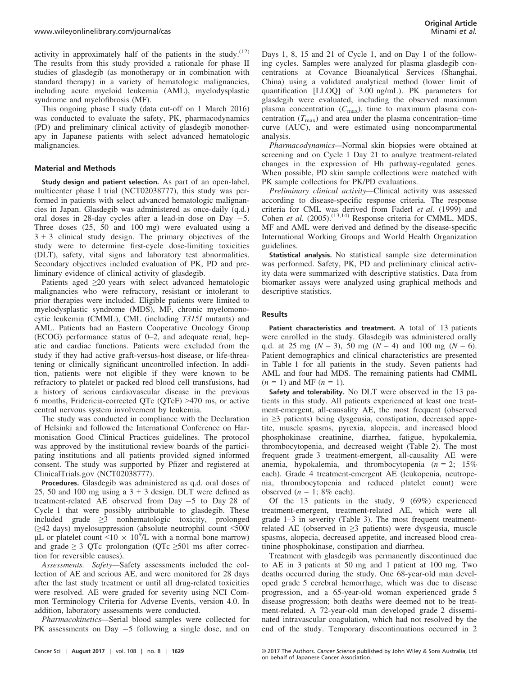activity in approximately half of the patients in the study. $(12)$ The results from this study provided a rationale for phase II studies of glasdegib (as monotherapy or in combination with standard therapy) in a variety of hematologic malignancies, including acute myeloid leukemia (AML), myelodysplastic syndrome and myelofibrosis (MF).

This ongoing phase I study (data cut-off on 1 March 2016) was conducted to evaluate the safety, PK, pharmacodynamics (PD) and preliminary clinical activity of glasdegib monotherapy in Japanese patients with select advanced hematologic malignancies.

# Material and Methods

Study design and patient selection. As part of an open-label, multicenter phase I trial (NCT02038777), this study was performed in patients with select advanced hematologic malignancies in Japan. Glasdegib was administered as once-daily (q.d.) oral doses in 28-day cycles after a lead-in dose on Day  $-5$ . Three doses (25, 50 and 100 mg) were evaluated using a  $3 + 3$  clinical study design. The primary objectives of the study were to determine first-cycle dose-limiting toxicities (DLT), safety, vital signs and laboratory test abnormalities. Secondary objectives included evaluation of PK, PD and preliminary evidence of clinical activity of glasdegib.

Patients aged  $\geq 20$  years with select advanced hematologic malignancies who were refractory, resistant or intolerant to prior therapies were included. Eligible patients were limited to myelodysplastic syndrome (MDS), MF, chronic myelomonocytic leukemia (CMML), CML (including T315I mutants) and AML. Patients had an Eastern Cooperative Oncology Group (ECOG) performance status of 0–2, and adequate renal, hepatic and cardiac functions. Patients were excluded from the study if they had active graft-versus-host disease, or life-threatening or clinically significant uncontrolled infection. In addition, patients were not eligible if they were known to be refractory to platelet or packed red blood cell transfusions, had a history of serious cardiovascular disease in the previous 6 months, Fridericia-corrected QTc (QTcF) >470 ms, or active central nervous system involvement by leukemia.

The study was conducted in compliance with the Declaration of Helsinki and followed the International Conference on Harmonisation Good Clinical Practices guidelines. The protocol was approved by the institutional review boards of the participating institutions and all patients provided signed informed consent. The study was supported by Pfizer and registered at ClinicalTrials.gov (NCT02038777).

Procedures. Glasdegib was administered as q.d. oral doses of 25, 50 and 100 mg using a  $3 + 3$  design. DLT were defined as treatment-related AE observed from Day  $-5$  to Day 28 of Cycle 1 that were possibly attributable to glasdegib. These included grade ≥3 nonhematologic toxicity, prolonged (≥42 days) myelosuppression (absolute neutrophil count <500/ µL or platelet count <10  $\times$  10<sup>9</sup>/L with a normal bone marrow) and grade  $\geq$  3 QTc prolongation (QTc  $\geq$ 501 ms after correction for reversible causes).

Assessments. Safety—Safety assessments included the collection of AE and serious AE, and were monitored for 28 days after the last study treatment or until all drug-related toxicities were resolved. AE were graded for severity using NCI Common Terminology Criteria for Adverse Events, version 4.0. In addition, laboratory assessments were conducted.

Pharmacokinetics—Serial blood samples were collected for PK assessments on Day  $-5$  following a single dose, and on Days 1, 8, 15 and 21 of Cycle 1, and on Day 1 of the following cycles. Samples were analyzed for plasma glasdegib concentrations at Covance Bioanalytical Services (Shanghai, China) using a validated analytical method (lower limit of quantification [LLOQ] of 3.00 ng/mL). PK parameters for glasdegib were evaluated, including the observed maximum plasma concentration  $(C_{\text{max}})$ , time to maximum plasma concentration  $(T_{\text{max}})$  and area under the plasma concentration–time curve (AUC), and were estimated using noncompartmental analysis.

Pharmacodynamics—Normal skin biopsies were obtained at screening and on Cycle 1 Day 21 to analyze treatment-related changes in the expression of Hh pathway-regulated genes. When possible, PD skin sample collections were matched with PK sample collections for PK/PD evaluations.

Preliminary clinical activity—Clinical activity was assessed according to disease-specific response criteria. The response criteria for CML was derived from Faderl et al. (1999) and Cohen et al. (2005).<sup>(13,14)</sup> Response criteria for CMML, MDS, MF and AML were derived and defined by the disease-specific International Working Groups and World Health Organization guidelines.

Statistical analysis. No statistical sample size determination was performed. Safety, PK, PD and preliminary clinical activity data were summarized with descriptive statistics. Data from biomarker assays were analyzed using graphical methods and descriptive statistics.

# Results

Patient characteristics and treatment. A total of 13 patients were enrolled in the study. Glasdegib was administered orally q.d. at 25 mg ( $N = 3$ ), 50 mg ( $N = 4$ ) and 100 mg ( $N = 6$ ). Patient demographics and clinical characteristics are presented in Table 1 for all patients in the study. Seven patients had AML and four had MDS. The remaining patients had CMML  $(n = 1)$  and MF  $(n = 1)$ .

Safety and tolerability. No DLT were observed in the 13 patients in this study. All patients experienced at least one treatment-emergent, all-causality AE, the most frequent (observed in ≥3 patients) being dysgeusia, constipation, decreased appetite, muscle spasms, pyrexia, alopecia, and increased blood phosphokinase creatinine, diarrhea, fatigue, hypokalemia, thrombocytopenia, and decreased weight (Table 2). The most frequent grade 3 treatment-emergent, all-causality AE were anemia, hypokalemia, and thrombocytopenia ( $n = 2$ ; 15%) each). Grade 4 treatment-emergent AE (leukopenia, neutropenia, thrombocytopenia and reduced platelet count) were observed  $(n = 1; 8\%$  each).

Of the 13 patients in the study, 9 (69%) experienced treatment-emergent, treatment-related AE, which were all grade 1–3 in severity (Table 3). The most frequent treatmentrelated AE (observed in  $\geq$ 3 patients) were dysgeusia, muscle spasms, alopecia, decreased appetite, and increased blood creatinine phosphokinase, constipation and diarrhea.

Treatment with glasdegib was permanently discontinued due to AE in 3 patients at 50 mg and 1 patient at 100 mg. Two deaths occurred during the study. One 68-year-old man developed grade 5 cerebral hemorrhage, which was due to disease progression, and a 65-year-old woman experienced grade 5 disease progression; both deaths were deemed not to be treatment-related. A 72-year-old man developed grade 2 disseminated intravascular coagulation, which had not resolved by the end of the study. Temporary discontinuations occurred in 2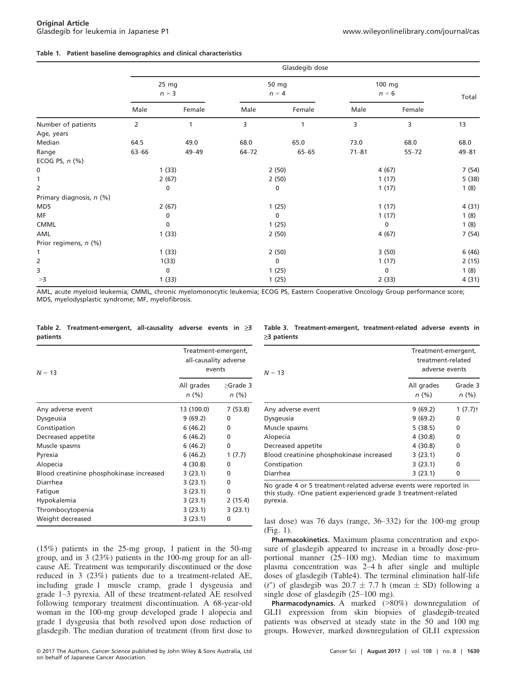# Table 1. Patient baseline demographics and clinical characteristics

|                          | Glasdegib dose   |             |                  |              |                   |           |           |
|--------------------------|------------------|-------------|------------------|--------------|-------------------|-----------|-----------|
|                          | 25 mg<br>$n = 3$ |             | 50 mg<br>$n = 4$ |              | 100 mg<br>$n = 6$ |           | Total     |
|                          | Male             | Female      | Male             | Female       | Male              | Female    |           |
| Number of patients       | 2                | 1           | 3                |              | 3                 | 3         | 13        |
| Age, years               |                  |             |                  |              |                   |           |           |
| Median                   | 64.5             | 49.0        | 68.0             | 65.0         | 73.0              | 68.0      | 68.0      |
| Range                    | 63-66            | 49 - 49     | $64 - 72$        | $65 - 65$    | $71 - 81$         | $55 - 72$ | $49 - 81$ |
| ECOG PS, $n$ (%)         |                  |             |                  |              |                   |           |           |
| 0                        | 1(33)            |             | 2(50)            |              | 4(67)             |           | 7(54)     |
| $\mathbf{1}$             | 2(67)            |             | 2(50)            |              | 1(17)             |           | 5(38)     |
| $\overline{2}$           |                  | 0           |                  | 0            |                   | 1(17)     | 1(8)      |
| Primary diagnosis, n (%) |                  |             |                  |              |                   |           |           |
| <b>MDS</b>               |                  | 2(67)       |                  | 1(25)        |                   | 1(17)     | 4(31)     |
| MF                       |                  | 0           |                  | $\mathbf{0}$ |                   | 1(17)     | 1(8)      |
| <b>CMML</b>              | 0                |             | 1(25)            |              | 0                 |           | 1(8)      |
| AML                      |                  | 1(33)       |                  | 2(50)        |                   | 4(67)     | 7(54)     |
| Prior regimens, n (%)    |                  |             |                  |              |                   |           |           |
| 1                        |                  | 1(33)       |                  | 2(50)        |                   | 3(50)     | 6(46)     |
| 2                        |                  | 1(33)       |                  | 0            |                   | 1(17)     | 2(15)     |
| 3                        |                  | $\mathbf 0$ |                  | 1(25)        |                   | 0         | 1(8)      |
| >3                       |                  | 1(33)       |                  | 1(25)        |                   | 2(33)     | 4(31)     |

AML, acute myeloid leukemia; CMML, chronic myelomonocytic leukemia; ECOG PS, Eastern Cooperative Oncology Group performance score; MDS, myelodysplastic syndrome; MF, myelofibrosis.

# Table 2. Treatment-emergent, all-causality adverse events in  $\geq 3$ patients

| $N = 13$                                 | Treatment-emergent,<br>all-causality adverse<br>events |                        |  |
|------------------------------------------|--------------------------------------------------------|------------------------|--|
|                                          | All grades<br>n(%)                                     | $\geq$ Grade 3<br>n(%) |  |
| Any adverse event                        | 13 (100.0)                                             | 7(53.8)                |  |
| Dysgeusia                                | 9(69.2)                                                | 0                      |  |
| Constipation                             | 6 (46.2)                                               | 0                      |  |
| Decreased appetite                       | 6(46.2)                                                | 0                      |  |
| Muscle spasms                            | 6(46.2)                                                | 0                      |  |
| Pyrexia                                  | 6(46.2)                                                | 1(7.7)                 |  |
| Alopecia                                 | 4(30.8)                                                | 0                      |  |
| Blood creatinine phosphokinase increased | 3(23.1)                                                | 0                      |  |
| Diarrhea                                 | 3(23.1)                                                | 0                      |  |
| Fatigue                                  | 3(23.1)                                                | 0                      |  |
| Hypokalemia                              | 3(23.1)                                                | 2(15.4)                |  |
| Thrombocytopenia                         | 3(23.1)                                                | 3(23.1)                |  |
| Weight decreased                         | 3(23.1)                                                | 0                      |  |

(15%) patients in the 25-mg group, 1 patient in the 50-mg group, and in 3 (23%) patients in the 100-mg group for an allcause AE. Treatment was temporarily discontinued or the dose reduced in 3 (23%) patients due to a treatment-related AE, including grade 1 muscle cramp, grade 1 dysgeusia and grade 1–3 pyrexia. All of these treatment-related AE resolved following temporary treatment discontinuation. A 68-year-old woman in the 100-mg group developed grade 1 alopecia and grade 1 dysgeusia that both resolved upon dose reduction of glasdegib. The median duration of treatment (from first dose to

|                   | Table 3. Treatment-emergent, treatment-related adverse events in |  |  |
|-------------------|------------------------------------------------------------------|--|--|
| $\geq$ 3 patients |                                                                  |  |  |

| $N = 13$                                 | Treatment-emergent,<br>treatment-related<br>adverse events |                 |  |
|------------------------------------------|------------------------------------------------------------|-----------------|--|
|                                          | All grades<br>n(%)                                         | Grade 3<br>n(%) |  |
| Any adverse event                        | 9(69.2)                                                    | $1(7.7)$ †      |  |
| Dysgeusia                                | 9(69.2)                                                    | 0               |  |
| Muscle spasms                            | 5(38.5)                                                    | 0               |  |
| Alopecia                                 | 4(30.8)                                                    | 0               |  |
| Decreased appetite                       | 4(30.8)                                                    | 0               |  |
| Blood creatinine phosphokinase increased | 3(23.1)                                                    | 0               |  |
| Constipation                             | 3(23.1)                                                    | 0               |  |
| Diarrhea                                 | 3(23.1)                                                    | ŋ               |  |

No grade 4 or 5 treatment-related adverse events were reported in this study. †One patient experienced grade 3 treatment-related pyrexia.

last dose) was 76 days (range, 36–332) for the 100-mg group (Fig. 1).

Pharmacokinetics. Maximum plasma concentration and exposure of glasdegib appeared to increase in a broadly dose-proportional manner (25–100 mg). Median time to maximum plasma concentration was 2–4 h after single and multiple doses of glasdegib (Table4). The terminal elimination half-life (t") of glasdegib was  $20.7 \pm 7.7$  h (mean  $\pm$  SD) following a single dose of glasdegib (25–100 mg).

Pharmacodynamics. A marked (>80%) downregulation of GLI1 expression from skin biopsies of glasdegib-treated patients was observed at steady state in the 50 and 100 mg groups. However, marked downregulation of GLI1 expression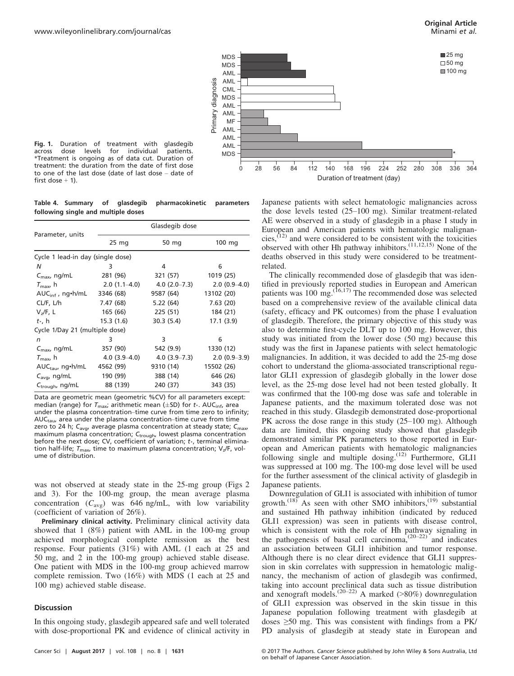

Fig. 1. Duration of treatment with glasdegib across dose levels for individual patients. \*Treatment is ongoing as of data cut. Duration of treatment: the duration from the date of first dose to one of the last dose (date of last dose – date of first dose  $+1$ ).

Table 4. Summary of glasdegib pharmacokinetic parameters following single and multiple doses

|                                   |                  | Glasdegib dose |                  |  |  |
|-----------------------------------|------------------|----------------|------------------|--|--|
| Parameter, units                  | 25 <sub>mg</sub> | 50 mg          | $100 \text{ mg}$ |  |  |
| Cycle 1 lead-in day (single dose) |                  |                |                  |  |  |
| N                                 | 3                | 4              | 6                |  |  |
| $C_{\text{max}}$ , ng/mL          | 281 (96)         | 321 (57)       | 1019 (25)        |  |  |
| $T_{\rm max}$ , h                 | $2.0(1.1-4.0)$   | $4.0(2.0-7.3)$ | $2.0(0.9-4.0)$   |  |  |
| $AUC_{\text{inf}}$ , ng•h/mL      | 3346 (68)        | 9587 (64)      | 13102 (20)       |  |  |
| CL/F, L/h                         | 7.47 (68)        | 5.22 (64)      | 7.63(20)         |  |  |
| V <sub>7</sub> /F, L              | 165 (66)         | 225 (51)       | 184 (21)         |  |  |
| $tth$ , h                         | 15.3 (1.6)       | 30.3(5.4)      | 17.1(3.9)        |  |  |
| Cycle 1/Day 21 (multiple dose)    |                  |                |                  |  |  |
| n                                 | 3                | 3              | 6                |  |  |
| $C_{\text{max}}$ , ng/mL          | 357 (90)         | 542 (9.9)      | 1330 (12)        |  |  |
| $T_{\rm max}$ , h                 | $4.0(3.9-4.0)$   | $4.0(3.9-7.3)$ | $2.0(0.9-3.9)$   |  |  |
| $AUC_{tau}$ , ng•h/mL 4562 (99)   |                  | 9310 (14)      | 15502 (26)       |  |  |
| $C_{\text{ava}}$ , ng/mL          | 190 (99)         | 388 (14)       | 646 (26)         |  |  |
| $C_{\text{trough}}$ , ng/mL       | 88 (139)         | 240 (37)       | 343 (35)         |  |  |

Data are geometric mean (geometric %CV) for all parameters except: median (range) for  $T_{\text{max}}$ ; arithmetic mean ( $\pm$ SD) for  $t_0$ . AUC<sub>inf</sub>, area under the plasma concentration–time curve from time zero to infinity;  $AUC_{tau}$  area under the plasma concentration–time curve from time zero to 24 h;  $C_{\text{avg}}$ , average plasma concentration at steady state;  $C_{\text{max}}$ maximum plasma concentration;  $C_{\text{trough}}$  lowest plasma concentration before the next dose; CV, coefficient of variation;  $t<sub>+</sub>$ , terminal elimination half-life;  $T_{\text{max}}$ , time to maximum plasma concentration;  $V_z/F$ , volume of distribution.

was not observed at steady state in the 25-mg group (Figs 2 and 3). For the 100-mg group, the mean average plasma concentration  $(C_{\text{avg}})$  was 646 ng/mL, with low variability (coefficient of variation of 26%).

Preliminary clinical activity. Preliminary clinical activity data showed that 1 (8%) patient with AML in the 100-mg group achieved morphological complete remission as the best response. Four patients (31%) with AML (1 each at 25 and 50 mg, and 2 in the 100-mg group) achieved stable disease. One patient with MDS in the 100-mg group achieved marrow complete remission. Two (16%) with MDS (1 each at 25 and 100 mg) achieved stable disease.

# **Discussion**

In this ongoing study, glasdegib appeared safe and well tolerated with dose-proportional PK and evidence of clinical activity in

Japanese patients with select hematologic malignancies across the dose levels tested (25–100 mg). Similar treatment-related AE were observed in a study of glasdegib in a phase I study in European and American patients with hematologic malignancies, $(12)$  and were considered to be consistent with the toxicities observed with other Hh pathway inhibitors.<sup>(11,12,15)</sup> None of the deaths observed in this study were considered to be treatmentrelated.

The clinically recommended dose of glasdegib that was identified in previously reported studies in European and American patients was  $100 \text{ mg}$ .<sup>(16,17)</sup> The recommended dose was selected based on a comprehensive review of the available clinical data (safety, efficacy and PK outcomes) from the phase I evaluation of glasdegib. Therefore, the primary objective of this study was also to determine first-cycle DLT up to 100 mg. However, this study was initiated from the lower dose (50 mg) because this study was the first in Japanese patients with select hematologic malignancies. In addition, it was decided to add the 25-mg dose cohort to understand the glioma-associated transcriptional regulator GLI1 expression of glasdegib globally in the lower dose level, as the 25-mg dose level had not been tested globally. It was confirmed that the 100-mg dose was safe and tolerable in Japanese patients, and the maximum tolerated dose was not reached in this study. Glasdegib demonstrated dose-proportional PK across the dose range in this study (25–100 mg). Although data are limited, this ongoing study showed that glasdegib demonstrated similar PK parameters to those reported in European and American patients with hematologic malignancies following single and multiple dosing.<sup>(12)</sup> Furthermore, GLI1 was suppressed at 100 mg. The 100-mg dose level will be used for the further assessment of the clinical activity of glasdegib in Japanese patients.

Downregulation of GLI1 is associated with inhibition of tumor growth.<sup>(18)</sup> As seen with other SMO inhibitors,<sup>(19)</sup> substantial and sustained Hh pathway inhibition (indicated by reduced GLI1 expression) was seen in patients with disease control, which is consistent with the role of Hh pathway signaling in the pathogenesis of basal cell carcinoma,  $(20-22)$  and indicates an association between GLI1 inhibition and tumor response. Although there is no clear direct evidence that GLI1 suppression in skin correlates with suppression in hematologic malignancy, the mechanism of action of glasdegib was confirmed, taking into account preclinical data such as tissue distribution and xenograft models.<sup>(20–22)</sup> A marked ( $>80\%$ ) downregulation of GLI1 expression was observed in the skin tissue in this Japanese population following treatment with glasdegib at doses  $\geq 50$  mg. This was consistent with findings from a PK/ PD analysis of glasdegib at steady state in European and

Cancer Sci | August 2017 | vol. 108 | no. 8 | 1631 © 2017 The Authors. Cancer Science published by John Wiley & Sons Australia, Ltd on behalf of Japanese Cancer Association.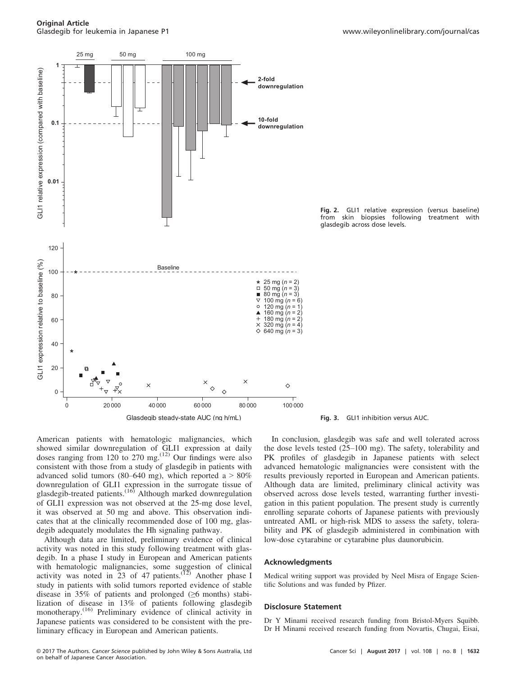

Fig. 2. GLI1 relative expression (versus baseline) from skin biopsies following treatment with glasdegib across dose levels.



Although data are limited, preliminary evidence of clinical activity was noted in this study following treatment with glasdegib. In a phase I study in European and American patients with hematologic malignancies, some suggestion of clinical activity was noted in  $23$  of 47 patients.<sup>(12)</sup> Another phase I study in patients with solid tumors reported evidence of stable disease in 35% of patients and prolonged  $(\geq 6 \text{ months})$  stabilization of disease in 13% of patients following glasdegib monotherapy.<sup>(16)</sup> Preliminary evidence of clinical activity in Japanese patients was considered to be consistent with the preliminary efficacy in European and American patients.

Fig. 3. GLI1 inhibition versus AUC.

In conclusion, glasdegib was safe and well tolerated across the dose levels tested (25–100 mg). The safety, tolerability and PK profiles of glasdegib in Japanese patients with select advanced hematologic malignancies were consistent with the results previously reported in European and American patients. Although data are limited, preliminary clinical activity was observed across dose levels tested, warranting further investigation in this patient population. The present study is currently enrolling separate cohorts of Japanese patients with previously untreated AML or high-risk MDS to assess the safety, tolerability and PK of glasdegib administered in combination with low-dose cytarabine or cytarabine plus daunorubicin.

#### Acknowledgments

Medical writing support was provided by Neel Misra of Engage Scientific Solutions and was funded by Pfizer.

#### Disclosure Statement

Dr Y Minami received research funding from Bristol-Myers Squibb. Dr H Minami received research funding from Novartis, Chugai, Eisai,